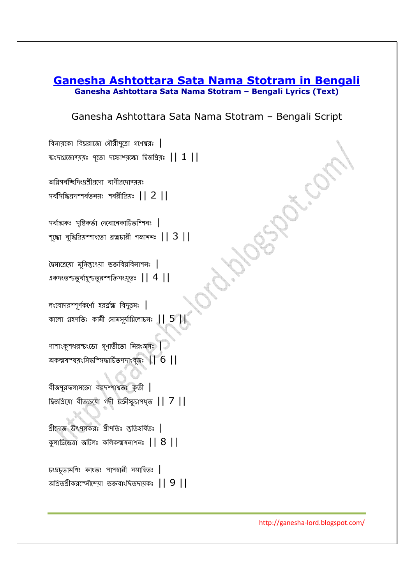## **Ganesha Ashtottara Sata Nama Stotram in Bengali Ganesha Ashtottara Sata Nama Stotram – Bengali Lyrics (Text)**

## Ganesha Ashtottara Sata Nama Stotram – Bengali Script

বিনায়কো বিঘ্নরাজো গৌরীপুত্রো গণেশ্বরঃ  $\vert$ ষংদাগ্ৰজান্ময়: পূতা দক্ষাশ্মকো দিনপ্ৰিয়: || 1 ||<br>সমীসবিশিক্ষিয়তীয়দা বাণীয়দানময়:<br>সৰ্বসিদ্ধিয়দম্পৰ্বতনয়: শৰৱীপ্ৰিয়: || 2 ||<br>স্কো বুদ্ধিপ্ৰিয়ম্পাংতো ব্ৰহ্মচাৰী গজানন: || 3 ||<br>কৈদতেন্দ্ৰবুৰ্বপূৰ্বস্থত,ৰূপাক্তিসংযু অগ্নিগৰ্ব<mark>চ্</mark>চিদিংদ্ৰশ্ৰীপ্ৰদো বাণীপ্ৰদোৰ্<mark>ম</mark>য়ঃ সর্বসিদ্ধিপ্রদশ্শর্বতন্য়ঃ শর্বরীপ্রিয়ঃ  $||2||$ সর্বাত্মকঃ সৃষ্টিকর্তা দেবোনেকার্চিতশিশবঃ  $\vert$ শুদ্ধো বুদ্ধিপ্রিয়শ্শাংতো ব্রহ্মচারী গজাননঃ  $||3||$ দৈমাত্ৰেয়ো মুনিস্ত্যৎেয়া ভক্তবিঘ্নবিনাশনঃ | একদংতশ্চতুর্বাহৃশ্চতুরশ্শক্তিসংয়ুতঃ  $||\ 4\ ||$ লংবোদরশ্সূর্পকর্ণো হরর্রহ্ম বিদুত্তমঃ  $\vert$ কালো গ্ৰহপতিঃ কামী সোমসূৰ্যাগ্নিলোচনঃ  $||5||$ পাশাংকুশধরশ্চংডো গুণাতীতো নিরংজনঃ  $\vert$ অকল্মষস্ম্বয়ংসিদ্ধশ্সিদ্ধার্চিতপদাংবুজঃ  $||\ 6\ ||$ বীজপূরফলাসক্তো বরদশ্শাশ্বতঃ কৃতী | -5 
.D.=, || 7 || শ্রীদোজ উৎপলকরঃ শ্রীপতিঃ স্ততিহর্ষিতঃ  $\vert$ কুলাদ্রিভেত্তা জটিলঃ কলিকল্মষনাশনঃ  $|| 8 ||$ চংদ্রচূডামণিঃ কাংতঃ পাপহারী সমাহিতঃ  $\vert$ অশ্রিতশ্রীকরশ্সৌম্ম্যে ভক্তবাংছিতদায়কঃ  $\, \vert \, \vert \, \, 9 \, \, \vert \, \vert \,$ 

http://ganesha-lord.blogspot.com/